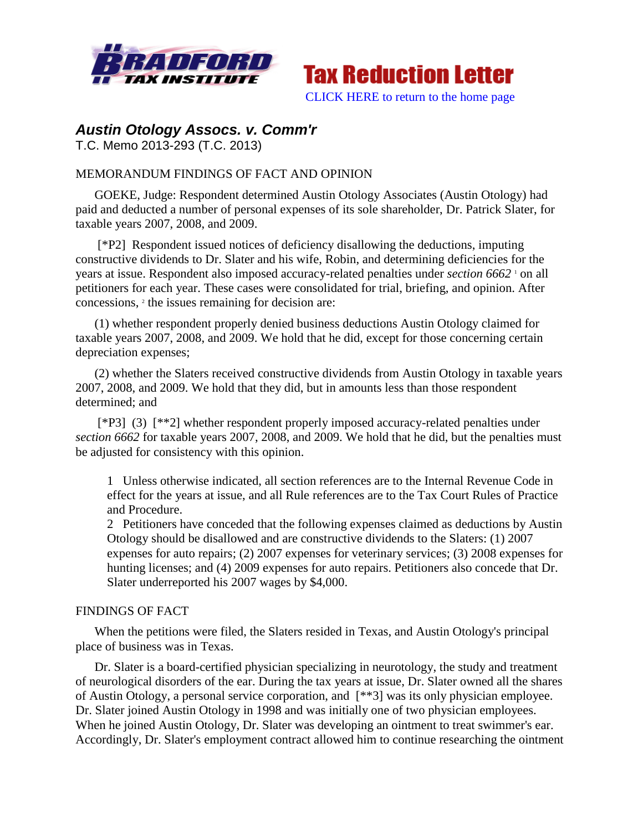



# *Austin Otology Assocs. v. Comm'r*

T.C. Memo 2013-293 (T.C. 2013)

# MEMORANDUM FINDINGS OF FACT AND OPINION

GOEKE, Judge: Respondent determined Austin Otology Associates (Austin Otology) had paid and deducted a number of personal expenses of its sole shareholder, Dr. Patrick Slater, for taxable years 2007, 2008, and 2009.

[\*P2] Respondent issued notices of deficiency disallowing the deductions, imputing constructive dividends to Dr. Slater and his wife, Robin, and determining deficiencies for the years at issue. Respondent also imposed accuracy-related penalties under *section 6662* <sup>1</sup> on all petitioners for each year. These cases were consolidated for trial, briefing, and opinion. After concessions, <sup>2</sup> the issues remaining for decision are:

(1) whether respondent properly denied business deductions Austin Otology claimed for taxable years 2007, 2008, and 2009. We hold that he did, except for those concerning certain depreciation expenses;

(2) whether the Slaters received constructive dividends from Austin Otology in taxable years 2007, 2008, and 2009. We hold that they did, but in amounts less than those respondent determined; and

[\*P3] (3) [\*\*2] whether respondent properly imposed accuracy-related penalties under *section 6662* for taxable years 2007, 2008, and 2009. We hold that he did, but the penalties must be adjusted for consistency with this opinion.

1 Unless otherwise indicated, all section references are to the Internal Revenue Code in effect for the years at issue, and all Rule references are to the Tax Court Rules of Practice and Procedure.

2 Petitioners have conceded that the following expenses claimed as deductions by Austin Otology should be disallowed and are constructive dividends to the Slaters: (1) 2007 expenses for auto repairs; (2) 2007 expenses for veterinary services; (3) 2008 expenses for hunting licenses; and (4) 2009 expenses for auto repairs. Petitioners also concede that Dr. Slater underreported his 2007 wages by \$4,000.

# FINDINGS OF FACT

When the petitions were filed, the Slaters resided in Texas, and Austin Otology's principal place of business was in Texas.

Dr. Slater is a board-certified physician specializing in neurotology, the study and treatment of neurological disorders of the ear. During the tax years at issue, Dr. Slater owned all the shares of Austin Otology, a personal service corporation, and [\*\*3] was its only physician employee. Dr. Slater joined Austin Otology in 1998 and was initially one of two physician employees. When he joined Austin Otology, Dr. Slater was developing an ointment to treat swimmer's ear. Accordingly, Dr. Slater's employment contract allowed him to continue researching the ointment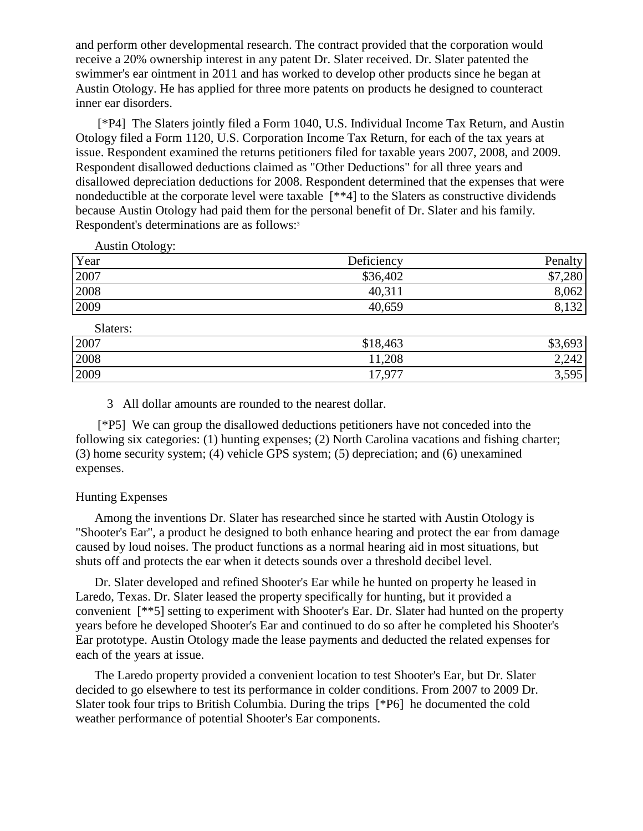and perform other developmental research. The contract provided that the corporation would receive a 20% ownership interest in any patent Dr. Slater received. Dr. Slater patented the swimmer's ear ointment in 2011 and has worked to develop other products since he began at Austin Otology. He has applied for three more patents on products he designed to counteract inner ear disorders.

[\*P4] The Slaters jointly filed a Form 1040, U.S. Individual Income Tax Return, and Austin Otology filed a Form 1120, U.S. Corporation Income Tax Return, for each of the tax years at issue. Respondent examined the returns petitioners filed for taxable years 2007, 2008, and 2009. Respondent disallowed deductions claimed as "Other Deductions" for all three years and disallowed depreciation deductions for 2008. Respondent determined that the expenses that were nondeductible at the corporate level were taxable [\*\*4] to the Slaters as constructive dividends because Austin Otology had paid them for the personal benefit of Dr. Slater and his family. Respondent's determinations are as follows:<sup>3</sup>

Austin Otology:

| Year | Deficiency | Penalty         |
|------|------------|-----------------|
| 2007 | \$36,402   | \$7,280         |
| 2008 | 40,311     | 8,062           |
| 2009 | 40,659     | $\Omega$<br>132 |

| Slaters: |          |         |
|----------|----------|---------|
| 2007     | \$18,463 | \$3,693 |
| 2008     | 11,208   | 2,242   |
| 2009     | 17,977   | 3,595   |

3 All dollar amounts are rounded to the nearest dollar.

[\*P5] We can group the disallowed deductions petitioners have not conceded into the following six categories: (1) hunting expenses; (2) North Carolina vacations and fishing charter; (3) home security system; (4) vehicle GPS system; (5) depreciation; and (6) unexamined expenses.

# Hunting Expenses

Among the inventions Dr. Slater has researched since he started with Austin Otology is "Shooter's Ear", a product he designed to both enhance hearing and protect the ear from damage caused by loud noises. The product functions as a normal hearing aid in most situations, but shuts off and protects the ear when it detects sounds over a threshold decibel level.

Dr. Slater developed and refined Shooter's Ear while he hunted on property he leased in Laredo, Texas. Dr. Slater leased the property specifically for hunting, but it provided a convenient [\*\*5] setting to experiment with Shooter's Ear. Dr. Slater had hunted on the property years before he developed Shooter's Ear and continued to do so after he completed his Shooter's Ear prototype. Austin Otology made the lease payments and deducted the related expenses for each of the years at issue.

The Laredo property provided a convenient location to test Shooter's Ear, but Dr. Slater decided to go elsewhere to test its performance in colder conditions. From 2007 to 2009 Dr. Slater took four trips to British Columbia. During the trips [\*P6] he documented the cold weather performance of potential Shooter's Ear components.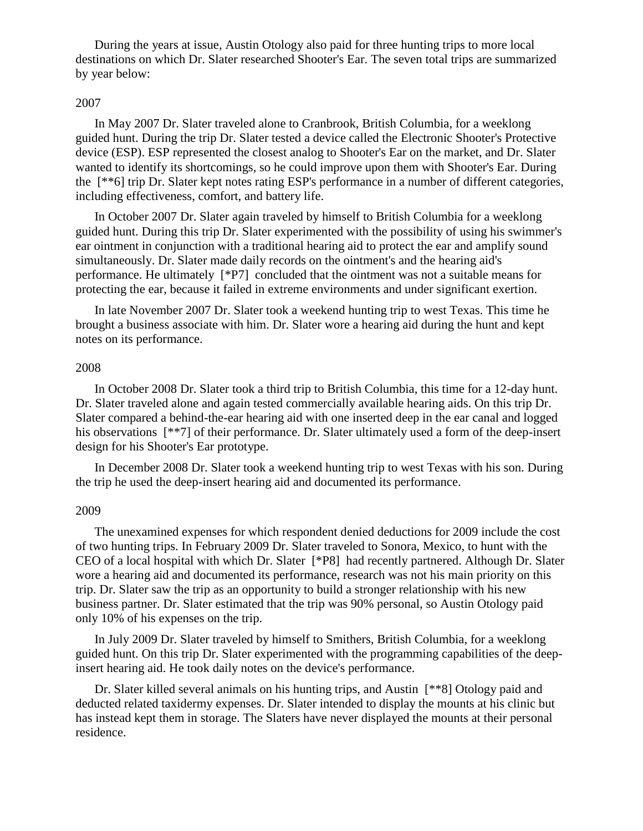During the years at issue, Austin Otology also paid for three hunting trips to more local destinations on which Dr. Slater researched Shooter's Ear. The seven total trips are summarized by year below:

### 2007

In May 2007 Dr. Slater traveled alone to Cranbrook, British Columbia, for a weeklong guided hunt. During the trip Dr. Slater tested a device called the Electronic Shooter's Protective device (ESP). ESP represented the closest analog to Shooter's Ear on the market, and Dr. Slater wanted to identify its shortcomings, so he could improve upon them with Shooter's Ear. During the [\*\*6] trip Dr. Slater kept notes rating ESP's performance in a number of different categories, including effectiveness, comfort, and battery life.

In October 2007 Dr. Slater again traveled by himself to British Columbia for a weeklong guided hunt. During this trip Dr. Slater experimented with the possibility of using his swimmer's ear ointment in conjunction with a traditional hearing aid to protect the ear and amplify sound simultaneously. Dr. Slater made daily records on the ointment's and the hearing aid's performance. He ultimately [\*P7] concluded that the ointment was not a suitable means for protecting the ear, because it failed in extreme environments and under significant exertion.

In late November 2007 Dr. Slater took a weekend hunting trip to west Texas. This time he brought a business associate with him. Dr. Slater wore a hearing aid during the hunt and kept notes on its performance.

#### 2008

In October 2008 Dr. Slater took a third trip to British Columbia, this time for a 12-day hunt. Dr. Slater traveled alone and again tested commercially available hearing aids. On this trip Dr. Slater compared a behind-the-ear hearing aid with one inserted deep in the ear canal and logged his observations [\*\*7] of their performance. Dr. Slater ultimately used a form of the deep-insert design for his Shooter's Ear prototype.

In December 2008 Dr. Slater took a weekend hunting trip to west Texas with his son. During the trip he used the deep-insert hearing aid and documented its performance.

#### 2009

The unexamined expenses for which respondent denied deductions for 2009 include the cost of two hunting trips. In February 2009 Dr. Slater traveled to Sonora, Mexico, to hunt with the CEO of a local hospital with which Dr. Slater [\*P8] had recently partnered. Although Dr. Slater wore a hearing aid and documented its performance, research was not his main priority on this trip. Dr. Slater saw the trip as an opportunity to build a stronger relationship with his new business partner. Dr. Slater estimated that the trip was 90% personal, so Austin Otology paid only 10% of his expenses on the trip.

In July 2009 Dr. Slater traveled by himself to Smithers, British Columbia, for a weeklong guided hunt. On this trip Dr. Slater experimented with the programming capabilities of the deepinsert hearing aid. He took daily notes on the device's performance.

Dr. Slater killed several animals on his hunting trips, and Austin [\*\*8] Otology paid and deducted related taxidermy expenses. Dr. Slater intended to display the mounts at his clinic but has instead kept them in storage. The Slaters have never displayed the mounts at their personal residence.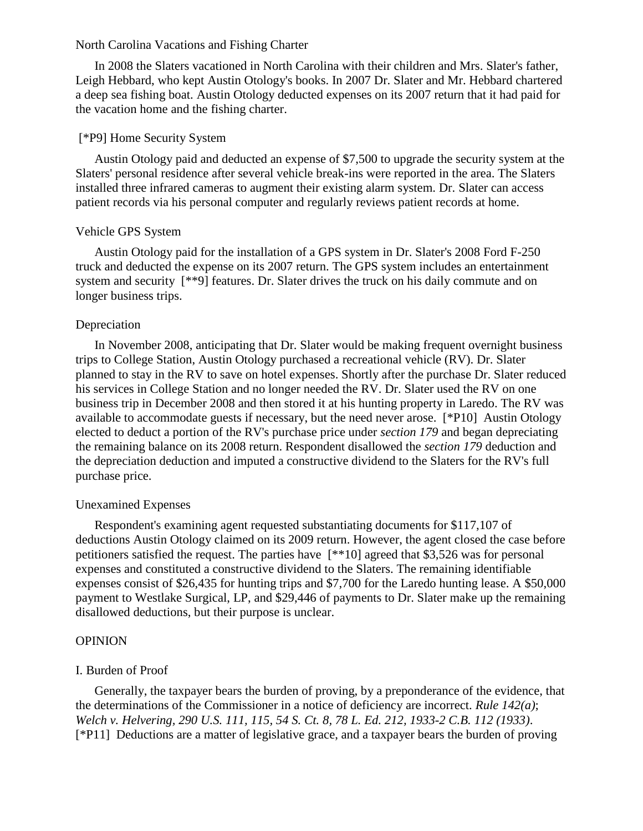#### North Carolina Vacations and Fishing Charter

In 2008 the Slaters vacationed in North Carolina with their children and Mrs. Slater's father, Leigh Hebbard, who kept Austin Otology's books. In 2007 Dr. Slater and Mr. Hebbard chartered a deep sea fishing boat. Austin Otology deducted expenses on its 2007 return that it had paid for the vacation home and the fishing charter.

# [\*P9] Home Security System

Austin Otology paid and deducted an expense of \$7,500 to upgrade the security system at the Slaters' personal residence after several vehicle break-ins were reported in the area. The Slaters installed three infrared cameras to augment their existing alarm system. Dr. Slater can access patient records via his personal computer and regularly reviews patient records at home.

### Vehicle GPS System

Austin Otology paid for the installation of a GPS system in Dr. Slater's 2008 Ford F-250 truck and deducted the expense on its 2007 return. The GPS system includes an entertainment system and security [\*\*9] features. Dr. Slater drives the truck on his daily commute and on longer business trips.

### Depreciation

In November 2008, anticipating that Dr. Slater would be making frequent overnight business trips to College Station, Austin Otology purchased a recreational vehicle (RV). Dr. Slater planned to stay in the RV to save on hotel expenses. Shortly after the purchase Dr. Slater reduced his services in College Station and no longer needed the RV. Dr. Slater used the RV on one business trip in December 2008 and then stored it at his hunting property in Laredo. The RV was available to accommodate guests if necessary, but the need never arose. [\*P10] Austin Otology elected to deduct a portion of the RV's purchase price under *section 179* and began depreciating the remaining balance on its 2008 return. Respondent disallowed the *section 179* deduction and the depreciation deduction and imputed a constructive dividend to the Slaters for the RV's full purchase price.

### Unexamined Expenses

Respondent's examining agent requested substantiating documents for \$117,107 of deductions Austin Otology claimed on its 2009 return. However, the agent closed the case before petitioners satisfied the request. The parties have [\*\*10] agreed that \$3,526 was for personal expenses and constituted a constructive dividend to the Slaters. The remaining identifiable expenses consist of \$26,435 for hunting trips and \$7,700 for the Laredo hunting lease. A \$50,000 payment to Westlake Surgical, LP, and \$29,446 of payments to Dr. Slater make up the remaining disallowed deductions, but their purpose is unclear.

#### **OPINION**

### I. Burden of Proof

Generally, the taxpayer bears the burden of proving, by a preponderance of the evidence, that the determinations of the Commissioner in a notice of deficiency are incorrect. *Rule 142(a)*; *Welch v. Helvering, 290 U.S. 111, 115, 54 S. Ct. 8, 78 L. Ed. 212, 1933-2 C.B. 112 (1933)*. [\*P11] Deductions are a matter of legislative grace, and a taxpayer bears the burden of proving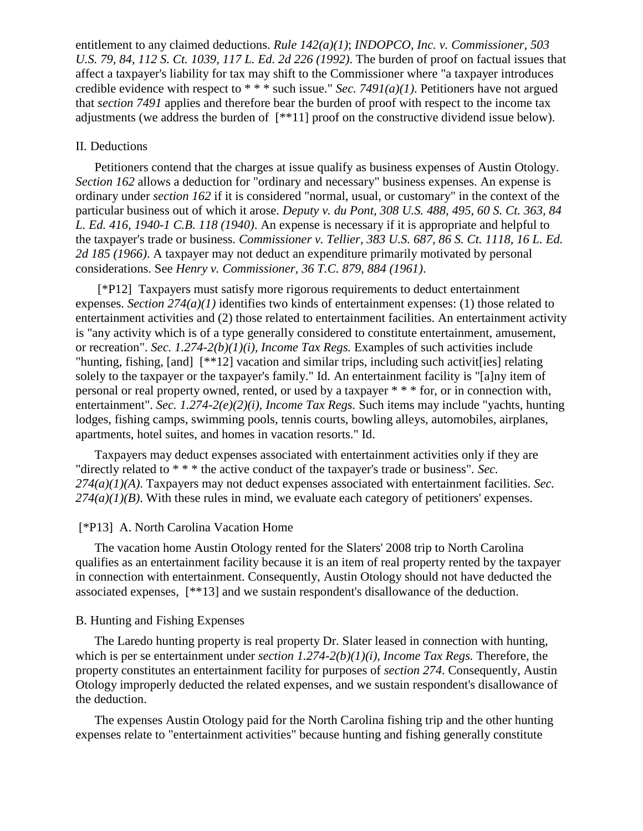entitlement to any claimed deductions. *Rule 142(a)(1)*; *INDOPCO, Inc. v. Commissioner, 503 U.S. 79, 84, 112 S. Ct. 1039, 117 L. Ed. 2d 226 (1992)*. The burden of proof on factual issues that affect a taxpayer's liability for tax may shift to the Commissioner where "a taxpayer introduces credible evidence with respect to \* \* \* such issue." *Sec. 7491(a)(1)*. Petitioners have not argued that *section 7491* applies and therefore bear the burden of proof with respect to the income tax adjustments (we address the burden of [\*\*11] proof on the constructive dividend issue below).

### II. Deductions

Petitioners contend that the charges at issue qualify as business expenses of Austin Otology. *Section 162* allows a deduction for "ordinary and necessary" business expenses. An expense is ordinary under *section 162* if it is considered "normal, usual, or customary" in the context of the particular business out of which it arose. *Deputy v. du Pont, 308 U.S. 488, 495, 60 S. Ct. 363, 84 L. Ed. 416, 1940-1 C.B. 118 (1940)*. An expense is necessary if it is appropriate and helpful to the taxpayer's trade or business. *Commissioner v. Tellier, 383 U.S. 687, 86 S. Ct. 1118, 16 L. Ed. 2d 185 (1966)*. A taxpayer may not deduct an expenditure primarily motivated by personal considerations. See *Henry v. Commissioner, 36 T.C. 879, 884 (1961)*.

[\*P12] Taxpayers must satisfy more rigorous requirements to deduct entertainment expenses. *Section 274(a)(1)* identifies two kinds of entertainment expenses: (1) those related to entertainment activities and (2) those related to entertainment facilities. An entertainment activity is "any activity which is of a type generally considered to constitute entertainment, amusement, or recreation". *Sec. 1.274-2(b)(1)(i), Income Tax Regs.* Examples of such activities include "hunting, fishing, [and] [\*\*12] vacation and similar trips, including such activit[ies] relating solely to the taxpayer or the taxpayer's family." Id. An entertainment facility is "[a]ny item of personal or real property owned, rented, or used by a taxpayer \* \* \* for, or in connection with, entertainment". *Sec. 1.274-2(e)(2)(i), Income Tax Regs.* Such items may include "yachts, hunting lodges, fishing camps, swimming pools, tennis courts, bowling alleys, automobiles, airplanes, apartments, hotel suites, and homes in vacation resorts." Id.

Taxpayers may deduct expenses associated with entertainment activities only if they are "directly related to \* \* \* the active conduct of the taxpayer's trade or business". *Sec. 274(a)(1)(A)*. Taxpayers may not deduct expenses associated with entertainment facilities. *Sec. 274(a)(1)(B)*. With these rules in mind, we evaluate each category of petitioners' expenses.

# [\*P13] A. North Carolina Vacation Home

The vacation home Austin Otology rented for the Slaters' 2008 trip to North Carolina qualifies as an entertainment facility because it is an item of real property rented by the taxpayer in connection with entertainment. Consequently, Austin Otology should not have deducted the associated expenses, [\*\*13] and we sustain respondent's disallowance of the deduction.

### B. Hunting and Fishing Expenses

The Laredo hunting property is real property Dr. Slater leased in connection with hunting, which is per se entertainment under *section 1.274-2(b)(1)(i), Income Tax Regs.* Therefore, the property constitutes an entertainment facility for purposes of *section 274*. Consequently, Austin Otology improperly deducted the related expenses, and we sustain respondent's disallowance of the deduction.

The expenses Austin Otology paid for the North Carolina fishing trip and the other hunting expenses relate to "entertainment activities" because hunting and fishing generally constitute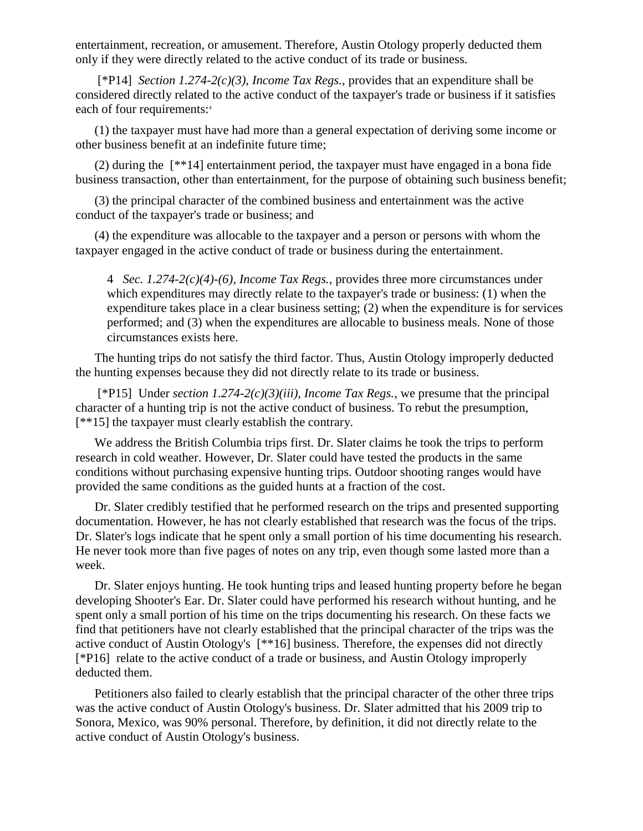entertainment, recreation, or amusement. Therefore, Austin Otology properly deducted them only if they were directly related to the active conduct of its trade or business.

[\*P14] *Section 1.274-2(c)(3), Income Tax Regs.*, provides that an expenditure shall be considered directly related to the active conduct of the taxpayer's trade or business if it satisfies each of four requirements:<sup>4</sup>

(1) the taxpayer must have had more than a general expectation of deriving some income or other business benefit at an indefinite future time;

(2) during the [\*\*14] entertainment period, the taxpayer must have engaged in a bona fide business transaction, other than entertainment, for the purpose of obtaining such business benefit;

(3) the principal character of the combined business and entertainment was the active conduct of the taxpayer's trade or business; and

(4) the expenditure was allocable to the taxpayer and a person or persons with whom the taxpayer engaged in the active conduct of trade or business during the entertainment.

4 *Sec. 1.274-2(c)(4)-(6), Income Tax Regs.*, provides three more circumstances under which expenditures may directly relate to the taxpayer's trade or business: (1) when the expenditure takes place in a clear business setting; (2) when the expenditure is for services performed; and (3) when the expenditures are allocable to business meals. None of those circumstances exists here.

The hunting trips do not satisfy the third factor. Thus, Austin Otology improperly deducted the hunting expenses because they did not directly relate to its trade or business.

[\*P15] Under *section 1.274-2(c)(3)(iii), Income Tax Regs.*, we presume that the principal character of a hunting trip is not the active conduct of business. To rebut the presumption, [\*\*15] the taxpayer must clearly establish the contrary.

We address the British Columbia trips first. Dr. Slater claims he took the trips to perform research in cold weather. However, Dr. Slater could have tested the products in the same conditions without purchasing expensive hunting trips. Outdoor shooting ranges would have provided the same conditions as the guided hunts at a fraction of the cost.

Dr. Slater credibly testified that he performed research on the trips and presented supporting documentation. However, he has not clearly established that research was the focus of the trips. Dr. Slater's logs indicate that he spent only a small portion of his time documenting his research. He never took more than five pages of notes on any trip, even though some lasted more than a week.

Dr. Slater enjoys hunting. He took hunting trips and leased hunting property before he began developing Shooter's Ear. Dr. Slater could have performed his research without hunting, and he spent only a small portion of his time on the trips documenting his research. On these facts we find that petitioners have not clearly established that the principal character of the trips was the active conduct of Austin Otology's [\*\*16] business. Therefore, the expenses did not directly [\*P16] relate to the active conduct of a trade or business, and Austin Otology improperly deducted them.

Petitioners also failed to clearly establish that the principal character of the other three trips was the active conduct of Austin Otology's business. Dr. Slater admitted that his 2009 trip to Sonora, Mexico, was 90% personal. Therefore, by definition, it did not directly relate to the active conduct of Austin Otology's business.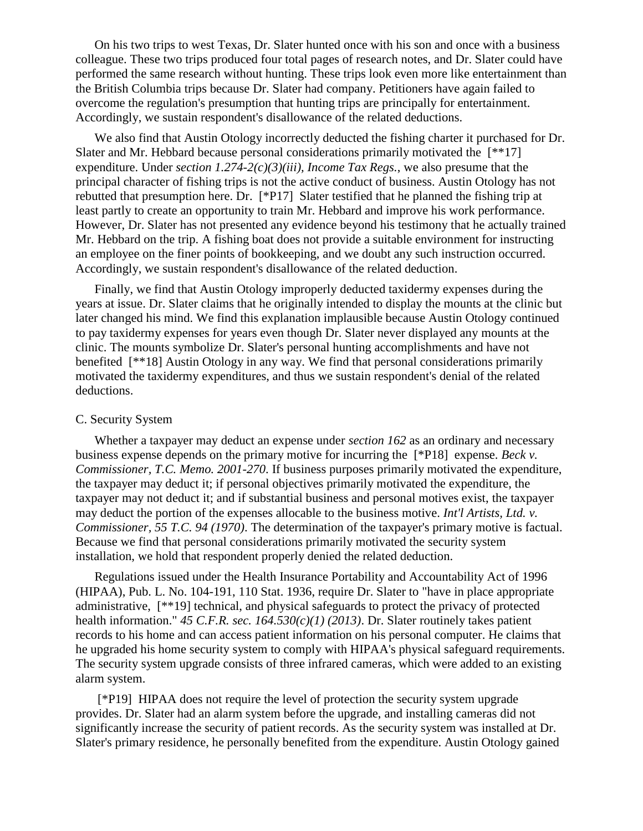On his two trips to west Texas, Dr. Slater hunted once with his son and once with a business colleague. These two trips produced four total pages of research notes, and Dr. Slater could have performed the same research without hunting. These trips look even more like entertainment than the British Columbia trips because Dr. Slater had company. Petitioners have again failed to overcome the regulation's presumption that hunting trips are principally for entertainment. Accordingly, we sustain respondent's disallowance of the related deductions.

We also find that Austin Otology incorrectly deducted the fishing charter it purchased for Dr. Slater and Mr. Hebbard because personal considerations primarily motivated the [\*\*17] expenditure. Under *section 1.274-2(c)(3)(iii), Income Tax Regs.*, we also presume that the principal character of fishing trips is not the active conduct of business. Austin Otology has not rebutted that presumption here. Dr. [\*P17] Slater testified that he planned the fishing trip at least partly to create an opportunity to train Mr. Hebbard and improve his work performance. However, Dr. Slater has not presented any evidence beyond his testimony that he actually trained Mr. Hebbard on the trip. A fishing boat does not provide a suitable environment for instructing an employee on the finer points of bookkeeping, and we doubt any such instruction occurred. Accordingly, we sustain respondent's disallowance of the related deduction.

Finally, we find that Austin Otology improperly deducted taxidermy expenses during the years at issue. Dr. Slater claims that he originally intended to display the mounts at the clinic but later changed his mind. We find this explanation implausible because Austin Otology continued to pay taxidermy expenses for years even though Dr. Slater never displayed any mounts at the clinic. The mounts symbolize Dr. Slater's personal hunting accomplishments and have not benefited [\*\*18] Austin Otology in any way. We find that personal considerations primarily motivated the taxidermy expenditures, and thus we sustain respondent's denial of the related deductions.

#### C. Security System

Whether a taxpayer may deduct an expense under *section 162* as an ordinary and necessary business expense depends on the primary motive for incurring the [\*P18] expense. *Beck v. Commissioner, T.C. Memo. 2001-270*. If business purposes primarily motivated the expenditure, the taxpayer may deduct it; if personal objectives primarily motivated the expenditure, the taxpayer may not deduct it; and if substantial business and personal motives exist, the taxpayer may deduct the portion of the expenses allocable to the business motive. *Int'l Artists, Ltd. v. Commissioner, 55 T.C. 94 (1970)*. The determination of the taxpayer's primary motive is factual. Because we find that personal considerations primarily motivated the security system installation, we hold that respondent properly denied the related deduction.

Regulations issued under the Health Insurance Portability and Accountability Act of 1996 (HIPAA), Pub. L. No. 104-191, 110 Stat. 1936, require Dr. Slater to "have in place appropriate administrative, [\*\*19] technical, and physical safeguards to protect the privacy of protected health information." *45 C.F.R. sec. 164.530(c)(1) (2013)*. Dr. Slater routinely takes patient records to his home and can access patient information on his personal computer. He claims that he upgraded his home security system to comply with HIPAA's physical safeguard requirements. The security system upgrade consists of three infrared cameras, which were added to an existing alarm system.

[\*P19] HIPAA does not require the level of protection the security system upgrade provides. Dr. Slater had an alarm system before the upgrade, and installing cameras did not significantly increase the security of patient records. As the security system was installed at Dr. Slater's primary residence, he personally benefited from the expenditure. Austin Otology gained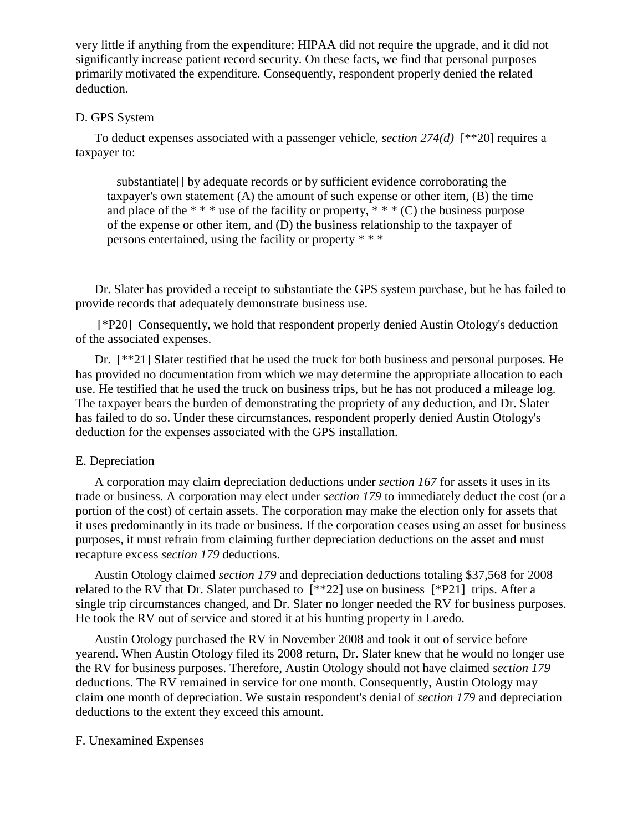very little if anything from the expenditure; HIPAA did not require the upgrade, and it did not significantly increase patient record security. On these facts, we find that personal purposes primarily motivated the expenditure. Consequently, respondent properly denied the related deduction.

# D. GPS System

To deduct expenses associated with a passenger vehicle, *section 274(d)* [\*\*20] requires a taxpayer to:

 substantiate[] by adequate records or by sufficient evidence corroborating the taxpayer's own statement (A) the amount of such expense or other item, (B) the time and place of the  $**$  \* use of the facility or property,  $**$  (C) the business purpose of the expense or other item, and (D) the business relationship to the taxpayer of persons entertained, using the facility or property \* \* \*

Dr. Slater has provided a receipt to substantiate the GPS system purchase, but he has failed to provide records that adequately demonstrate business use.

[\*P20] Consequently, we hold that respondent properly denied Austin Otology's deduction of the associated expenses.

Dr. [\*\*21] Slater testified that he used the truck for both business and personal purposes. He has provided no documentation from which we may determine the appropriate allocation to each use. He testified that he used the truck on business trips, but he has not produced a mileage log. The taxpayer bears the burden of demonstrating the propriety of any deduction, and Dr. Slater has failed to do so. Under these circumstances, respondent properly denied Austin Otology's deduction for the expenses associated with the GPS installation.

### E. Depreciation

A corporation may claim depreciation deductions under *section 167* for assets it uses in its trade or business. A corporation may elect under *section 179* to immediately deduct the cost (or a portion of the cost) of certain assets. The corporation may make the election only for assets that it uses predominantly in its trade or business. If the corporation ceases using an asset for business purposes, it must refrain from claiming further depreciation deductions on the asset and must recapture excess *section 179* deductions.

Austin Otology claimed *section 179* and depreciation deductions totaling \$37,568 for 2008 related to the RV that Dr. Slater purchased to [\*\*22] use on business [\*P21] trips. After a single trip circumstances changed, and Dr. Slater no longer needed the RV for business purposes. He took the RV out of service and stored it at his hunting property in Laredo.

Austin Otology purchased the RV in November 2008 and took it out of service before yearend. When Austin Otology filed its 2008 return, Dr. Slater knew that he would no longer use the RV for business purposes. Therefore, Austin Otology should not have claimed *section 179* deductions. The RV remained in service for one month. Consequently, Austin Otology may claim one month of depreciation. We sustain respondent's denial of *section 179* and depreciation deductions to the extent they exceed this amount.

### F. Unexamined Expenses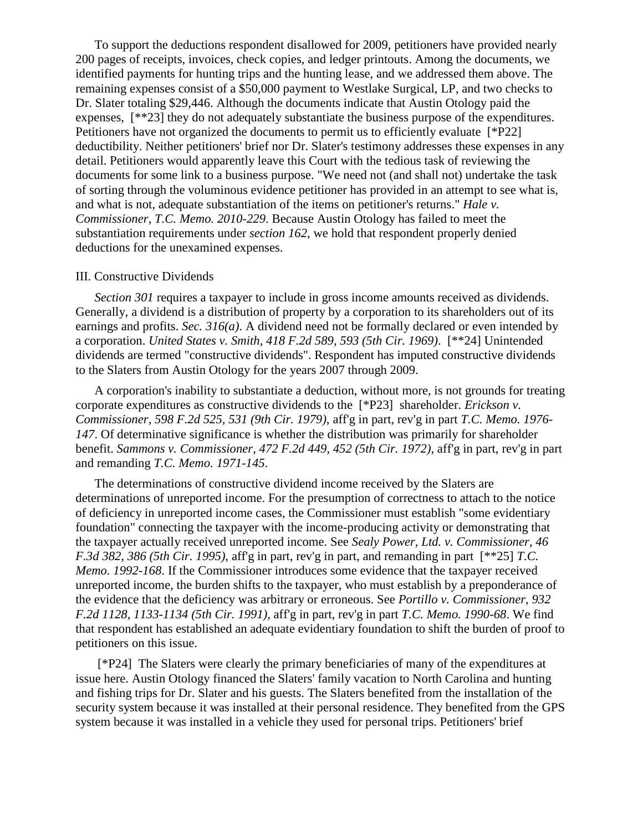To support the deductions respondent disallowed for 2009, petitioners have provided nearly 200 pages of receipts, invoices, check copies, and ledger printouts. Among the documents, we identified payments for hunting trips and the hunting lease, and we addressed them above. The remaining expenses consist of a \$50,000 payment to Westlake Surgical, LP, and two checks to Dr. Slater totaling \$29,446. Although the documents indicate that Austin Otology paid the expenses, [\*\*23] they do not adequately substantiate the business purpose of the expenditures. Petitioners have not organized the documents to permit us to efficiently evaluate [\*P22] deductibility. Neither petitioners' brief nor Dr. Slater's testimony addresses these expenses in any detail. Petitioners would apparently leave this Court with the tedious task of reviewing the documents for some link to a business purpose. "We need not (and shall not) undertake the task of sorting through the voluminous evidence petitioner has provided in an attempt to see what is, and what is not, adequate substantiation of the items on petitioner's returns." *Hale v. Commissioner, T.C. Memo. 2010-229*. Because Austin Otology has failed to meet the substantiation requirements under *section 162*, we hold that respondent properly denied deductions for the unexamined expenses.

### III. Constructive Dividends

*Section 301* requires a taxpayer to include in gross income amounts received as dividends. Generally, a dividend is a distribution of property by a corporation to its shareholders out of its earnings and profits. *Sec. 316(a)*. A dividend need not be formally declared or even intended by a corporation. *United States v. Smith, 418 F.2d 589, 593 (5th Cir. 1969)*. [\*\*24] Unintended dividends are termed "constructive dividends". Respondent has imputed constructive dividends to the Slaters from Austin Otology for the years 2007 through 2009.

A corporation's inability to substantiate a deduction, without more, is not grounds for treating corporate expenditures as constructive dividends to the [\*P23] shareholder. *Erickson v. Commissioner, 598 F.2d 525, 531 (9th Cir. 1979)*, aff'g in part, rev'g in part *T.C. Memo. 1976- 147*. Of determinative significance is whether the distribution was primarily for shareholder benefit. *Sammons v. Commissioner, 472 F.2d 449, 452 (5th Cir. 1972)*, aff'g in part, rev'g in part and remanding *T.C. Memo. 1971-145*.

The determinations of constructive dividend income received by the Slaters are determinations of unreported income. For the presumption of correctness to attach to the notice of deficiency in unreported income cases, the Commissioner must establish "some evidentiary foundation" connecting the taxpayer with the income-producing activity or demonstrating that the taxpayer actually received unreported income. See *Sealy Power, Ltd. v. Commissioner, 46 F.3d 382, 386 (5th Cir. 1995)*, aff'g in part, rev'g in part, and remanding in part [\*\*25] *T.C. Memo. 1992-168*. If the Commissioner introduces some evidence that the taxpayer received unreported income, the burden shifts to the taxpayer, who must establish by a preponderance of the evidence that the deficiency was arbitrary or erroneous. See *Portillo v. Commissioner, 932 F.2d 1128, 1133-1134 (5th Cir. 1991)*, aff'g in part, rev'g in part *T.C. Memo. 1990-68*. We find that respondent has established an adequate evidentiary foundation to shift the burden of proof to petitioners on this issue.

[\*P24] The Slaters were clearly the primary beneficiaries of many of the expenditures at issue here. Austin Otology financed the Slaters' family vacation to North Carolina and hunting and fishing trips for Dr. Slater and his guests. The Slaters benefited from the installation of the security system because it was installed at their personal residence. They benefited from the GPS system because it was installed in a vehicle they used for personal trips. Petitioners' brief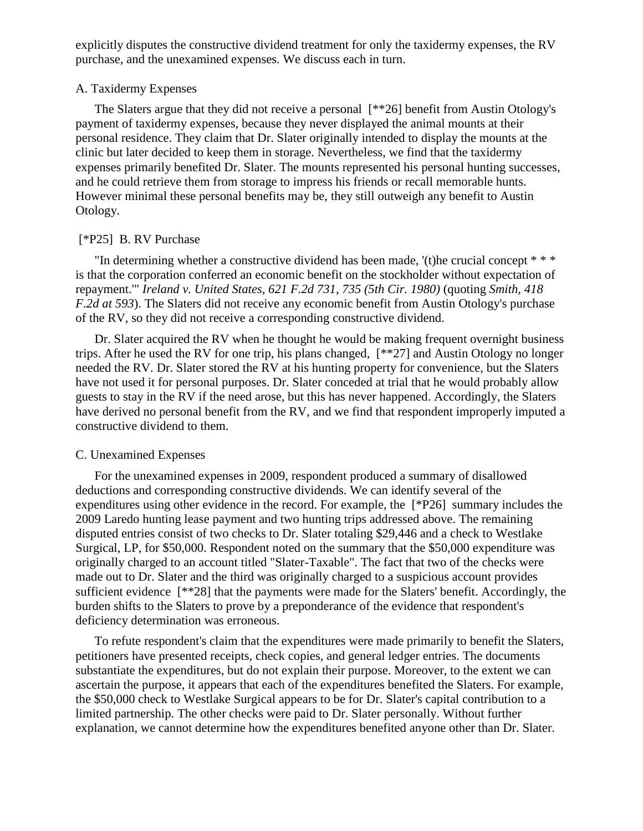explicitly disputes the constructive dividend treatment for only the taxidermy expenses, the RV purchase, and the unexamined expenses. We discuss each in turn.

### A. Taxidermy Expenses

The Slaters argue that they did not receive a personal [\*\*26] benefit from Austin Otology's payment of taxidermy expenses, because they never displayed the animal mounts at their personal residence. They claim that Dr. Slater originally intended to display the mounts at the clinic but later decided to keep them in storage. Nevertheless, we find that the taxidermy expenses primarily benefited Dr. Slater. The mounts represented his personal hunting successes, and he could retrieve them from storage to impress his friends or recall memorable hunts. However minimal these personal benefits may be, they still outweigh any benefit to Austin Otology.

# [\*P25] B. RV Purchase

"In determining whether a constructive dividend has been made, '(t)he crucial concept \* \* \* is that the corporation conferred an economic benefit on the stockholder without expectation of repayment.'" *Ireland v. United States, 621 F.2d 731, 735 (5th Cir. 1980)* (quoting *Smith, 418 F.2d at 593*). The Slaters did not receive any economic benefit from Austin Otology's purchase of the RV, so they did not receive a corresponding constructive dividend.

Dr. Slater acquired the RV when he thought he would be making frequent overnight business trips. After he used the RV for one trip, his plans changed, [\*\*27] and Austin Otology no longer needed the RV. Dr. Slater stored the RV at his hunting property for convenience, but the Slaters have not used it for personal purposes. Dr. Slater conceded at trial that he would probably allow guests to stay in the RV if the need arose, but this has never happened. Accordingly, the Slaters have derived no personal benefit from the RV, and we find that respondent improperly imputed a constructive dividend to them.

# C. Unexamined Expenses

For the unexamined expenses in 2009, respondent produced a summary of disallowed deductions and corresponding constructive dividends. We can identify several of the expenditures using other evidence in the record. For example, the [\*P26] summary includes the 2009 Laredo hunting lease payment and two hunting trips addressed above. The remaining disputed entries consist of two checks to Dr. Slater totaling \$29,446 and a check to Westlake Surgical, LP, for \$50,000. Respondent noted on the summary that the \$50,000 expenditure was originally charged to an account titled "Slater-Taxable". The fact that two of the checks were made out to Dr. Slater and the third was originally charged to a suspicious account provides sufficient evidence [\*\*28] that the payments were made for the Slaters' benefit. Accordingly, the burden shifts to the Slaters to prove by a preponderance of the evidence that respondent's deficiency determination was erroneous.

To refute respondent's claim that the expenditures were made primarily to benefit the Slaters, petitioners have presented receipts, check copies, and general ledger entries. The documents substantiate the expenditures, but do not explain their purpose. Moreover, to the extent we can ascertain the purpose, it appears that each of the expenditures benefited the Slaters. For example, the \$50,000 check to Westlake Surgical appears to be for Dr. Slater's capital contribution to a limited partnership. The other checks were paid to Dr. Slater personally. Without further explanation, we cannot determine how the expenditures benefited anyone other than Dr. Slater.